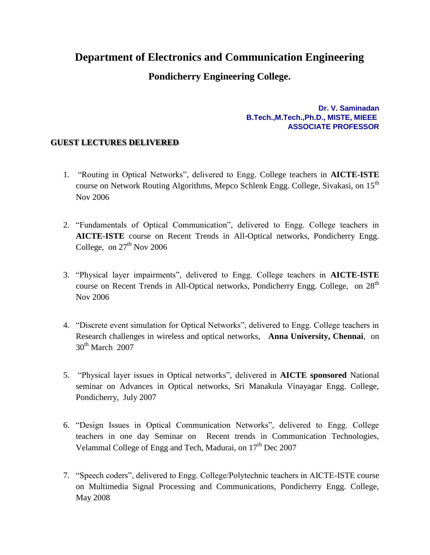## **Department of Electronics and Communication Engineering**

## **Pondicherry Engineering College.**

**Dr. V. Saminadan B.Tech.,M.Tech.,Ph.D., MISTE, MIEEE ASSOCIATE PROFESSOR**

## **GUEST LECTURES DELIVERED**

- 1. "Routing in Optical Networks", delivered to Engg. College teachers in **AICTE-ISTE**  course on Network Routing Algorithms, Mepco Schlenk Engg. College, Sivakasi, on 15<sup>th</sup> Nov 2006
- 2. "Fundamentals of Optical Communication", delivered to Engg. College teachers in **AICTE-ISTE** course on Recent Trends in All-Optical networks, Pondicherry Engg. College, on  $27<sup>th</sup>$  Nov 2006
- 3. "Physical layer impairments", delivered to Engg. College teachers in **AICTE-ISTE** course on Recent Trends in All-Optical networks, Pondicherry Engg. College, on 28<sup>th</sup> Nov 2006
- 4. "Discrete event simulation for Optical Networks", delivered to Engg. College teachers in Research challenges in wireless and optical networks, **Anna University, Chennai**, on  $30<sup>th</sup>$  March 2007
- 5. "Physical layer issues in Optical networks", delivered in **AICTE sponsored** National seminar on Advances in Optical networks, Sri Manakula Vinayagar Engg. College, Pondicherry, July 2007
- 6. "Design Issues in Optical Communication Networks", delivered to Engg. College teachers in one day Seminar on Recent trends in Communication Technologies, Velammal College of Engg and Tech, Madurai, on  $17<sup>th</sup>$  Dec 2007
- 7. "Speech coders", delivered to Engg. College/Polytechnic teachers in AICTE-ISTE course on Multimedia Signal Processing and Communications, Pondicherry Engg. College, May 2008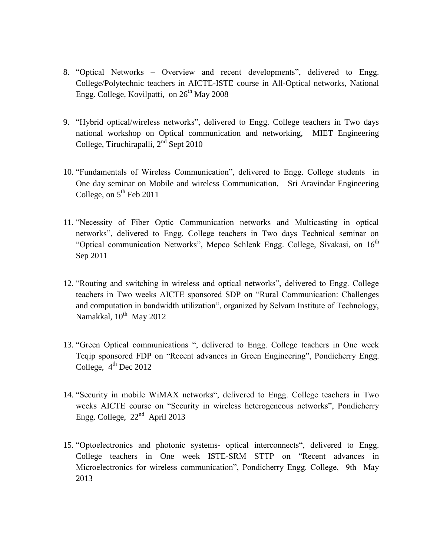- 8. "Optical Networks Overview and recent developments", delivered to Engg. College/Polytechnic teachers in AICTE-ISTE course in All-Optical networks, National Engg. College, Kovilpatti, on  $26<sup>th</sup>$  May 2008
- 9. "Hybrid optical/wireless networks", delivered to Engg. College teachers in Two days national workshop on Optical communication and networking, MIET Engineering College, Tiruchirapalli, 2<sup>nd</sup> Sept 2010
- 10. "Fundamentals of Wireless Communication", delivered to Engg. College students in One day seminar on Mobile and wireless Communication, Sri Aravindar Engineering College, on  $5<sup>th</sup>$  Feb 2011
- 11. "Necessity of Fiber Optic Communication networks and Multicasting in optical networks", delivered to Engg. College teachers in Two days Technical seminar on "Optical communication Networks", Mepco Schlenk Engg. College, Sivakasi, on 16<sup>th</sup> Sep 2011
- 12. "Routing and switching in wireless and optical networks", delivered to Engg. College teachers in Two weeks AICTE sponsored SDP on "Rural Communication: Challenges and computation in bandwidth utilization", organized by Selvam Institute of Technology, Namakkal, 10<sup>th</sup> May 2012
- 13. "Green Optical communications ", delivered to Engg. College teachers in One week Teqip sponsored FDP on "Recent advances in Green Engineering", Pondicherry Engg. College,  $4<sup>th</sup>$  Dec 2012
- 14. "Security in mobile WiMAX networks", delivered to Engg. College teachers in Two weeks AICTE course on "Security in wireless heterogeneous networks", Pondicherry Engg. College,  $22<sup>nd</sup>$  April 2013
- 15. "Optoelectronics and photonic systems- optical interconnects", delivered to Engg. College teachers in One week ISTE-SRM STTP on "Recent advances in Microelectronics for wireless communication", Pondicherry Engg. College, 9th May 2013